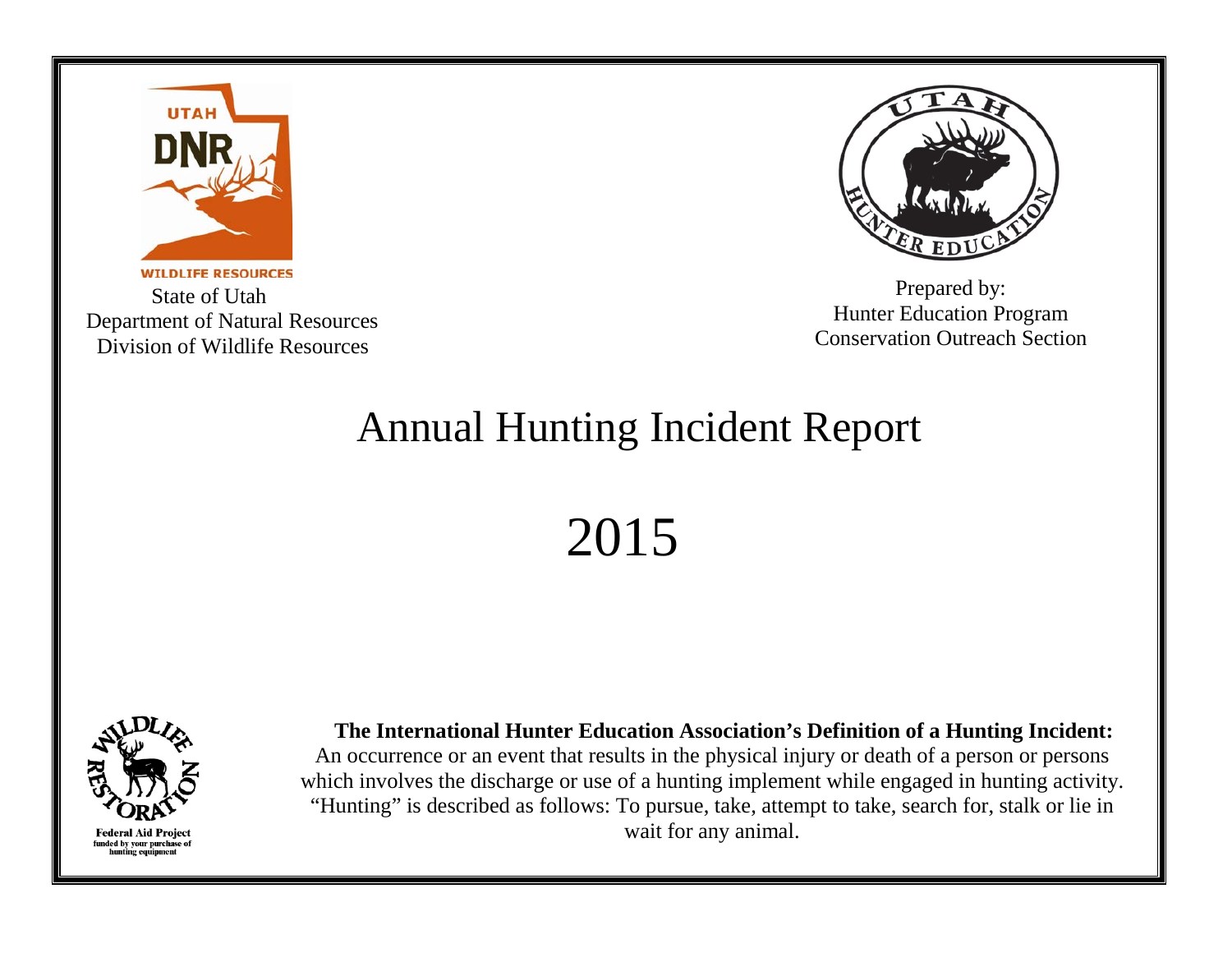

**WILDLIFE RESOURCES**  State of Utah Department of Natural Resources Division of Wildlife Resources



Prepared by: Hunter Education Program Conservation Outreach Section

## Annual Hunting Incident Report

2015



 **The International Hunter Education Association's Definition of a Hunting Incident:** An occurrence or an event that results in the physical injury or death of a person or persons which involves the discharge or use of a hunting implement while engaged in hunting activity. "Hunting" is described as follows: To pursue, take, attempt to take, search for, stalk or lie in wait for any animal.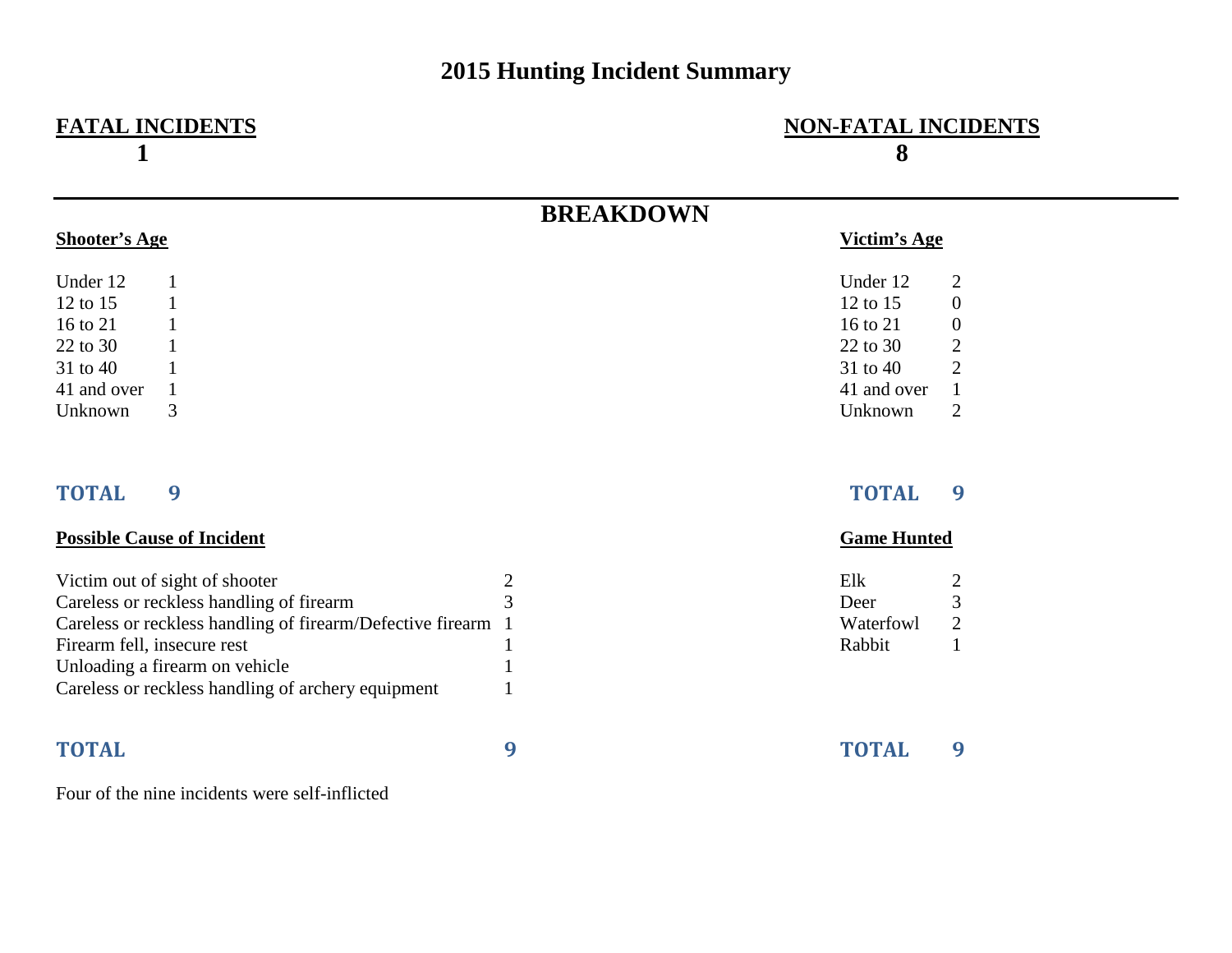## **2015 Hunting Incident Summary**

# **1** 8

## **FATAL INCIDENTS NON-FATAL INCIDENTS**

|                      |   | <b>BREAKDOWN</b> |                  |
|----------------------|---|------------------|------------------|
| <b>Shooter's Age</b> |   | Victim's Age     |                  |
| Under 12             |   | Under 12         | 2                |
| 12 to $15$           |   | 12 to 15         | $\boldsymbol{0}$ |
| 16 to 21             |   | 16 to 21         | $\boldsymbol{0}$ |
| 22 to 30             |   | 22 to 30         | $\overline{2}$   |
| 31 to 40             |   | 31 to 40         | $\overline{2}$   |
| 41 and over          |   | 41 and over      | 1                |
| Unknown              | 3 | Unknown          | 2                |

### **TOTAL 9 TOTAL 9**

### **Possible Cause of Incident Game Hunted**

| Victim out of sight of shooter                               | Elk       |               |
|--------------------------------------------------------------|-----------|---------------|
| Careless or reckless handling of firearm                     | Deer      |               |
| Careless or reckless handling of firearm/Defective firearm 1 | Waterfowl | $\mathcal{D}$ |
| Firearm fell, insecure rest                                  | Rabbit    |               |
| Unloading a firearm on vehicle                               |           |               |
| Careless or reckless handling of archery equipment           |           |               |

| Elk       |   |
|-----------|---|
| Deer      | 3 |
| Waterfowl |   |
| Rabbit    |   |

| <b>TOTAL</b> | <b>TOTAL</b> |  |
|--------------|--------------|--|
|              |              |  |

### Four of the nine incidents were self-inflicted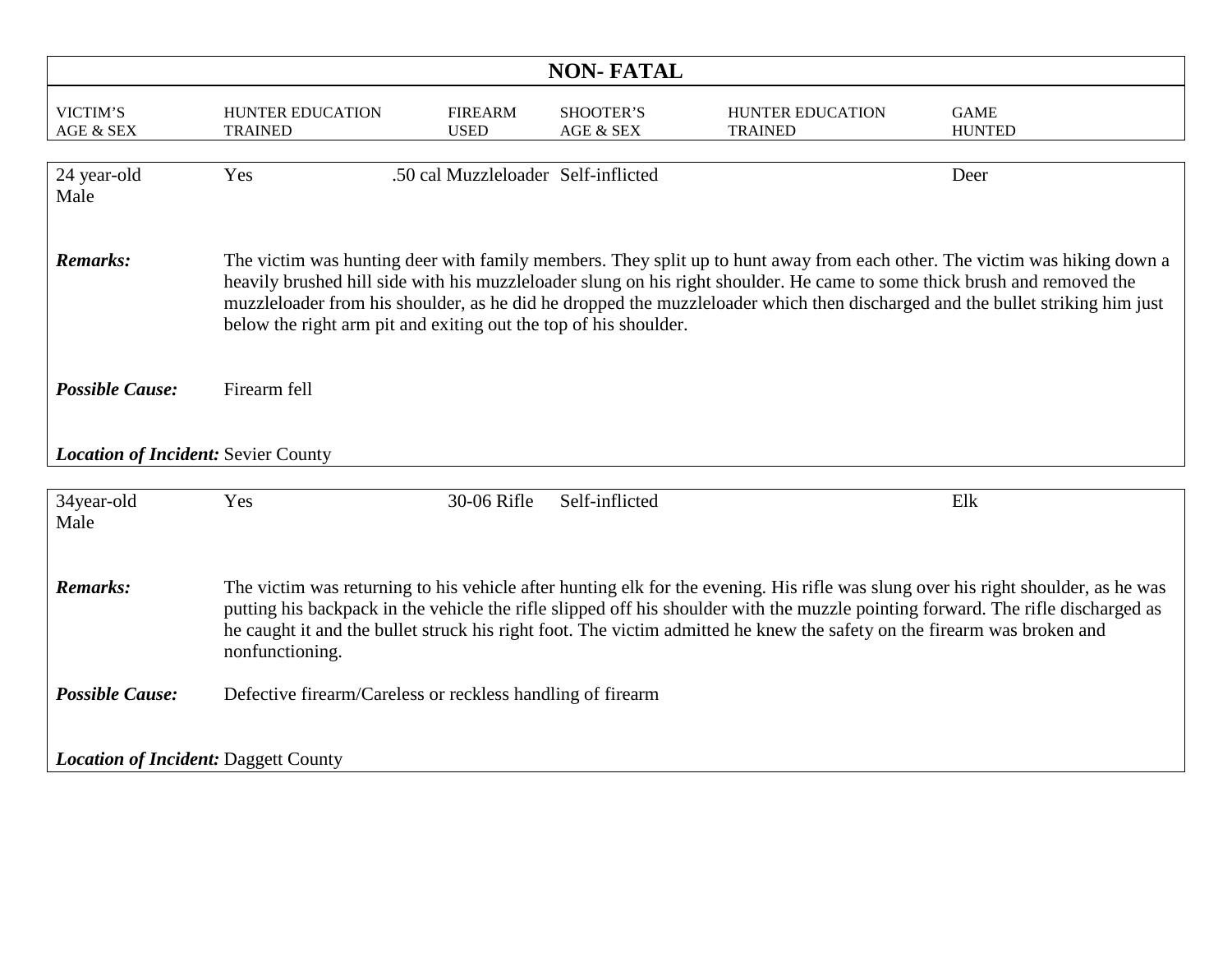| <b>NON-FATAL</b>                            |                                                                                                                                                                                                                                                                                                                                                                                                                     |                                     |                                   |                                                                                                                          |                                                                                                                                                                                                                                                           |  |
|---------------------------------------------|---------------------------------------------------------------------------------------------------------------------------------------------------------------------------------------------------------------------------------------------------------------------------------------------------------------------------------------------------------------------------------------------------------------------|-------------------------------------|-----------------------------------|--------------------------------------------------------------------------------------------------------------------------|-----------------------------------------------------------------------------------------------------------------------------------------------------------------------------------------------------------------------------------------------------------|--|
| VICTIM'S<br>AGE & SEX                       | HUNTER EDUCATION<br><b>TRAINED</b>                                                                                                                                                                                                                                                                                                                                                                                  | <b>FIREARM</b><br><b>USED</b>       | SHOOTER'S<br><b>AGE &amp; SEX</b> | <b>HUNTER EDUCATION</b><br><b>TRAINED</b>                                                                                | <b>GAME</b><br><b>HUNTED</b>                                                                                                                                                                                                                              |  |
| 24 year-old<br>Male                         | Yes                                                                                                                                                                                                                                                                                                                                                                                                                 | .50 cal Muzzleloader Self-inflicted |                                   |                                                                                                                          | Deer                                                                                                                                                                                                                                                      |  |
| <b>Remarks:</b>                             | below the right arm pit and exiting out the top of his shoulder.                                                                                                                                                                                                                                                                                                                                                    |                                     |                                   | heavily brushed hill side with his muzzleloader slung on his right shoulder. He came to some thick brush and removed the | The victim was hunting deer with family members. They split up to hunt away from each other. The victim was hiking down a<br>muzzleloader from his shoulder, as he did he dropped the muzzleloader which then discharged and the bullet striking him just |  |
| <b>Possible Cause:</b>                      | Firearm fell                                                                                                                                                                                                                                                                                                                                                                                                        |                                     |                                   |                                                                                                                          |                                                                                                                                                                                                                                                           |  |
| <b>Location of Incident: Sevier County</b>  |                                                                                                                                                                                                                                                                                                                                                                                                                     |                                     |                                   |                                                                                                                          |                                                                                                                                                                                                                                                           |  |
| 34year-old<br>Male                          | Yes                                                                                                                                                                                                                                                                                                                                                                                                                 | 30-06 Rifle                         | Self-inflicted                    |                                                                                                                          | Elk                                                                                                                                                                                                                                                       |  |
| <b>Remarks:</b>                             | The victim was returning to his vehicle after hunting elk for the evening. His rifle was slung over his right shoulder, as he was<br>putting his backpack in the vehicle the rifle slipped off his shoulder with the muzzle pointing forward. The rifle discharged as<br>he caught it and the bullet struck his right foot. The victim admitted he knew the safety on the firearm was broken and<br>nonfunctioning. |                                     |                                   |                                                                                                                          |                                                                                                                                                                                                                                                           |  |
| <b>Possible Cause:</b>                      | Defective firearm/Careless or reckless handling of firearm                                                                                                                                                                                                                                                                                                                                                          |                                     |                                   |                                                                                                                          |                                                                                                                                                                                                                                                           |  |
| <b>Location of Incident: Daggett County</b> |                                                                                                                                                                                                                                                                                                                                                                                                                     |                                     |                                   |                                                                                                                          |                                                                                                                                                                                                                                                           |  |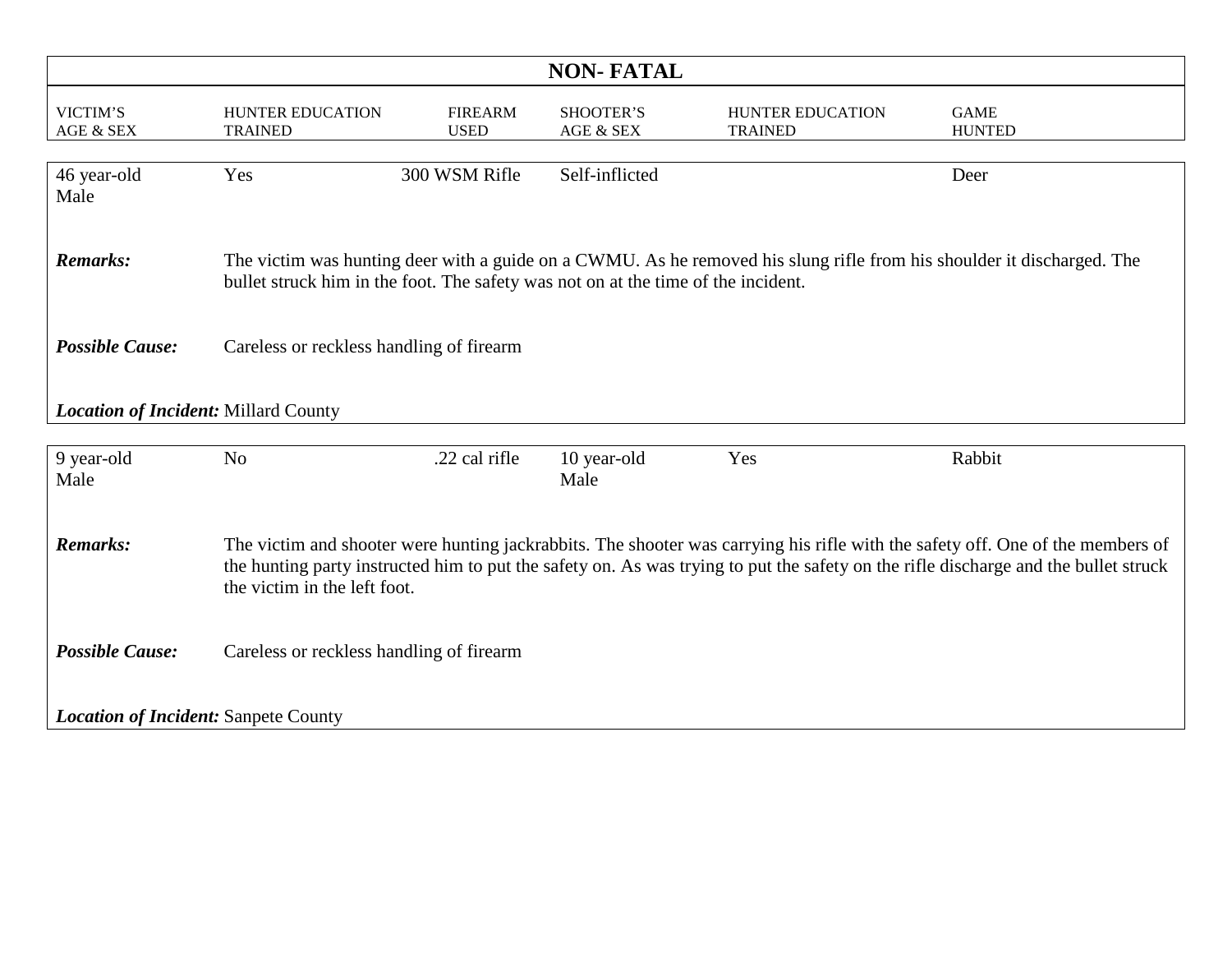| <b>NON-FATAL</b>                                                                                                                                                                                                                                                                                                         |                                                                                   |                               |                        |                                                                                                                        |                              |  |
|--------------------------------------------------------------------------------------------------------------------------------------------------------------------------------------------------------------------------------------------------------------------------------------------------------------------------|-----------------------------------------------------------------------------------|-------------------------------|------------------------|------------------------------------------------------------------------------------------------------------------------|------------------------------|--|
| VICTIM'S<br>AGE & SEX                                                                                                                                                                                                                                                                                                    | <b>HUNTER EDUCATION</b><br><b>TRAINED</b>                                         | <b>FIREARM</b><br><b>USED</b> | SHOOTER'S<br>AGE & SEX | HUNTER EDUCATION<br><b>TRAINED</b>                                                                                     | <b>GAME</b><br><b>HUNTED</b> |  |
| 46 year-old<br>Male                                                                                                                                                                                                                                                                                                      | Yes                                                                               | 300 WSM Rifle                 | Self-inflicted         |                                                                                                                        | Deer                         |  |
| <b>Remarks:</b>                                                                                                                                                                                                                                                                                                          | bullet struck him in the foot. The safety was not on at the time of the incident. |                               |                        | The victim was hunting deer with a guide on a CWMU. As he removed his slung rifle from his shoulder it discharged. The |                              |  |
| <b>Possible Cause:</b>                                                                                                                                                                                                                                                                                                   | Careless or reckless handling of firearm                                          |                               |                        |                                                                                                                        |                              |  |
| Location of Incident: Millard County                                                                                                                                                                                                                                                                                     |                                                                                   |                               |                        |                                                                                                                        |                              |  |
| 9 year-old<br>Male                                                                                                                                                                                                                                                                                                       | N <sub>o</sub>                                                                    | .22 cal rifle                 | 10 year-old<br>Male    | Yes                                                                                                                    | Rabbit                       |  |
| <b>Remarks:</b><br>The victim and shooter were hunting jackrabbits. The shooter was carrying his rifle with the safety off. One of the members of<br>the hunting party instructed him to put the safety on. As was trying to put the safety on the rifle discharge and the bullet struck<br>the victim in the left foot. |                                                                                   |                               |                        |                                                                                                                        |                              |  |
| <b>Possible Cause:</b>                                                                                                                                                                                                                                                                                                   | Careless or reckless handling of firearm                                          |                               |                        |                                                                                                                        |                              |  |
| <b>Location of Incident: Sanpete County</b>                                                                                                                                                                                                                                                                              |                                                                                   |                               |                        |                                                                                                                        |                              |  |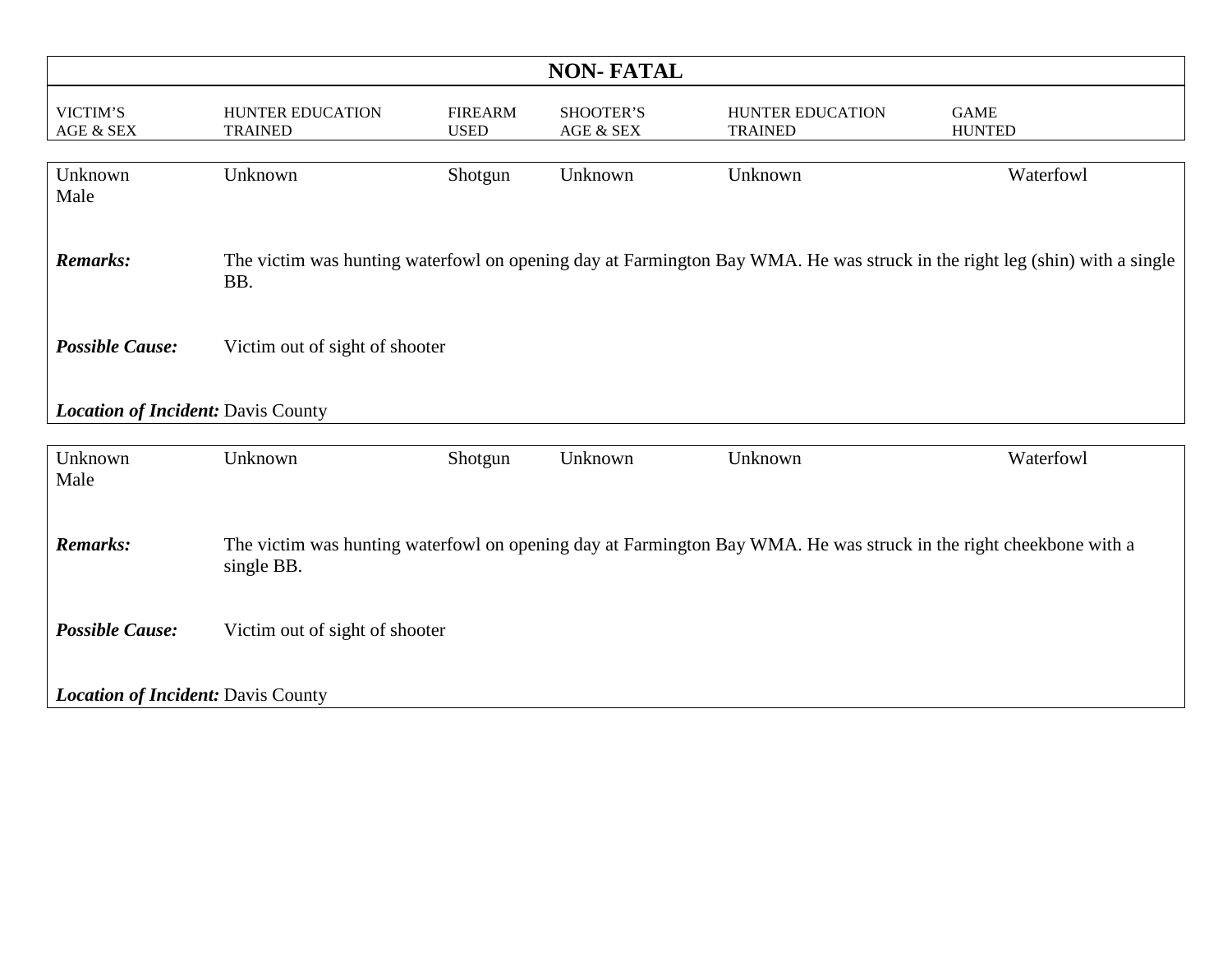| <b>NON-FATAL</b>                          |                                    |                               |                        |                                                                                                                    |                                                                                                                            |  |
|-------------------------------------------|------------------------------------|-------------------------------|------------------------|--------------------------------------------------------------------------------------------------------------------|----------------------------------------------------------------------------------------------------------------------------|--|
| VICTIM'S<br>AGE & SEX                     | HUNTER EDUCATION<br><b>TRAINED</b> | <b>FIREARM</b><br><b>USED</b> | SHOOTER'S<br>AGE & SEX | HUNTER EDUCATION<br><b>TRAINED</b>                                                                                 | <b>GAME</b><br><b>HUNTED</b>                                                                                               |  |
| Unknown<br>Male                           | Unknown                            | Shotgun                       | Unknown                | Unknown                                                                                                            | Waterfowl                                                                                                                  |  |
| <b>Remarks:</b>                           | BB.                                |                               |                        |                                                                                                                    | The victim was hunting waterfowl on opening day at Farmington Bay WMA. He was struck in the right leg (shin) with a single |  |
| <b>Possible Cause:</b>                    | Victim out of sight of shooter     |                               |                        |                                                                                                                    |                                                                                                                            |  |
| Location of Incident: Davis County        |                                    |                               |                        |                                                                                                                    |                                                                                                                            |  |
| Unknown<br>Male                           | Unknown                            | Shotgun                       | Unknown                | Unknown                                                                                                            | Waterfowl                                                                                                                  |  |
| <b>Remarks:</b>                           | single BB.                         |                               |                        | The victim was hunting waterfowl on opening day at Farmington Bay WMA. He was struck in the right cheekbone with a |                                                                                                                            |  |
| <b>Possible Cause:</b>                    | Victim out of sight of shooter     |                               |                        |                                                                                                                    |                                                                                                                            |  |
| <b>Location of Incident: Davis County</b> |                                    |                               |                        |                                                                                                                    |                                                                                                                            |  |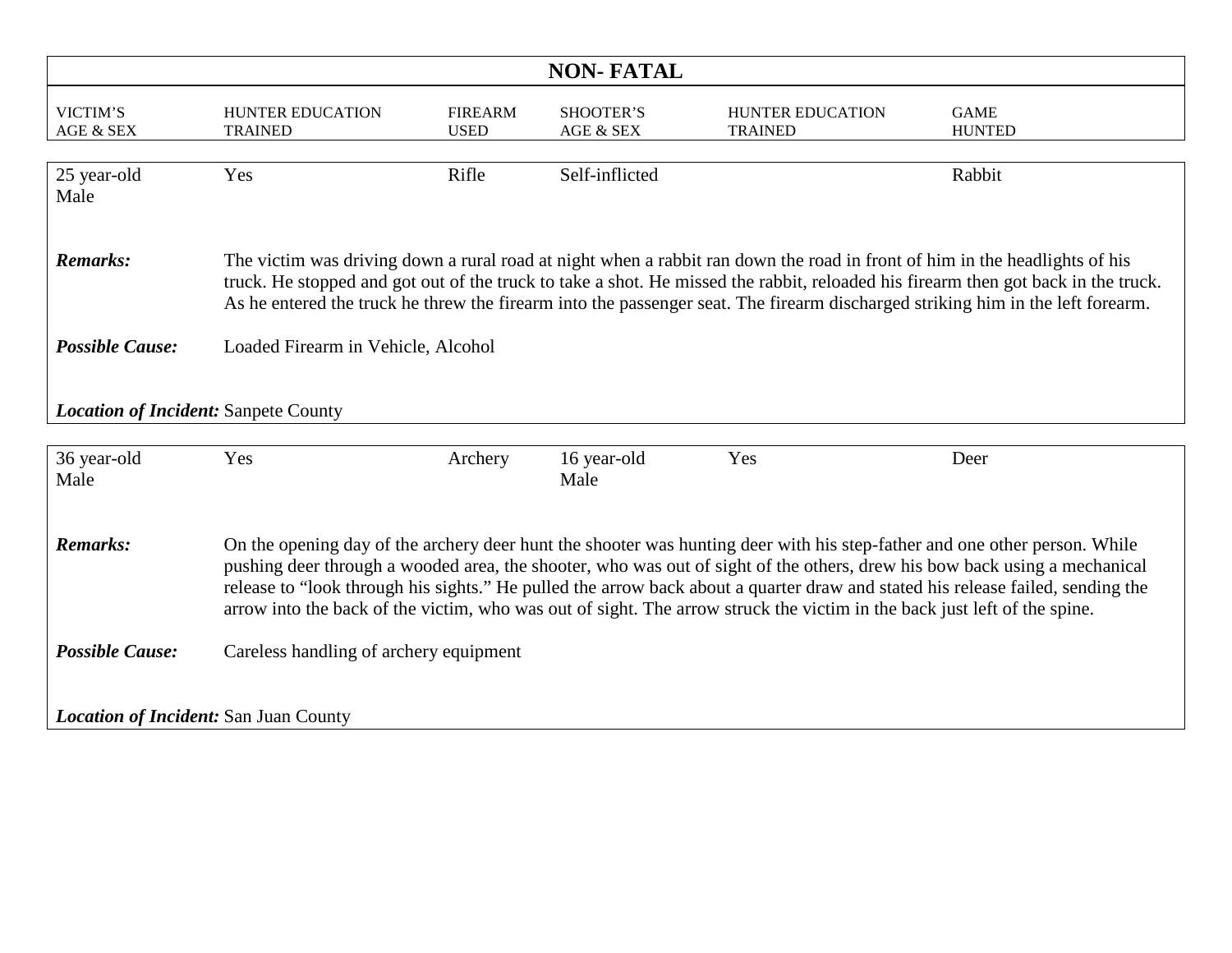| <b>NON-FATAL</b>                                                                                                                                                                                                                                                                                                                                                                                                                                                                                                                        |                                           |                               |                               |                                                                                                                            |                                                                                                                                                                                                                                                                     |  |
|-----------------------------------------------------------------------------------------------------------------------------------------------------------------------------------------------------------------------------------------------------------------------------------------------------------------------------------------------------------------------------------------------------------------------------------------------------------------------------------------------------------------------------------------|-------------------------------------------|-------------------------------|-------------------------------|----------------------------------------------------------------------------------------------------------------------------|---------------------------------------------------------------------------------------------------------------------------------------------------------------------------------------------------------------------------------------------------------------------|--|
| VICTIM'S<br>AGE & SEX                                                                                                                                                                                                                                                                                                                                                                                                                                                                                                                   | <b>HUNTER EDUCATION</b><br><b>TRAINED</b> | <b>FIREARM</b><br><b>USED</b> | <b>SHOOTER'S</b><br>AGE & SEX | <b>HUNTER EDUCATION</b><br><b>TRAINED</b>                                                                                  | <b>GAME</b><br><b>HUNTED</b>                                                                                                                                                                                                                                        |  |
| 25 year-old<br>Male                                                                                                                                                                                                                                                                                                                                                                                                                                                                                                                     | Yes                                       | Rifle                         | Self-inflicted                |                                                                                                                            | Rabbit                                                                                                                                                                                                                                                              |  |
| <b>Remarks:</b>                                                                                                                                                                                                                                                                                                                                                                                                                                                                                                                         |                                           |                               |                               | The victim was driving down a rural road at night when a rabbit ran down the road in front of him in the headlights of his | truck. He stopped and got out of the truck to take a shot. He missed the rabbit, reloaded his firearm then got back in the truck.<br>As he entered the truck he threw the firearm into the passenger seat. The firearm discharged striking him in the left forearm. |  |
| <b>Possible Cause:</b>                                                                                                                                                                                                                                                                                                                                                                                                                                                                                                                  | Loaded Firearm in Vehicle, Alcohol        |                               |                               |                                                                                                                            |                                                                                                                                                                                                                                                                     |  |
| <b>Location of Incident: Sanpete County</b>                                                                                                                                                                                                                                                                                                                                                                                                                                                                                             |                                           |                               |                               |                                                                                                                            |                                                                                                                                                                                                                                                                     |  |
| 36 year-old<br>Male                                                                                                                                                                                                                                                                                                                                                                                                                                                                                                                     | Yes                                       | Archery                       | 16 year-old<br>Male           | Yes                                                                                                                        | Deer                                                                                                                                                                                                                                                                |  |
| <b>Remarks:</b><br>On the opening day of the archery deer hunt the shooter was hunting deer with his step-father and one other person. While<br>pushing deer through a wooded area, the shooter, who was out of sight of the others, drew his bow back using a mechanical<br>release to "look through his sights." He pulled the arrow back about a quarter draw and stated his release failed, sending the<br>arrow into the back of the victim, who was out of sight. The arrow struck the victim in the back just left of the spine. |                                           |                               |                               |                                                                                                                            |                                                                                                                                                                                                                                                                     |  |
| <b>Possible Cause:</b>                                                                                                                                                                                                                                                                                                                                                                                                                                                                                                                  | Careless handling of archery equipment    |                               |                               |                                                                                                                            |                                                                                                                                                                                                                                                                     |  |
| <b>Location of Incident: San Juan County</b>                                                                                                                                                                                                                                                                                                                                                                                                                                                                                            |                                           |                               |                               |                                                                                                                            |                                                                                                                                                                                                                                                                     |  |